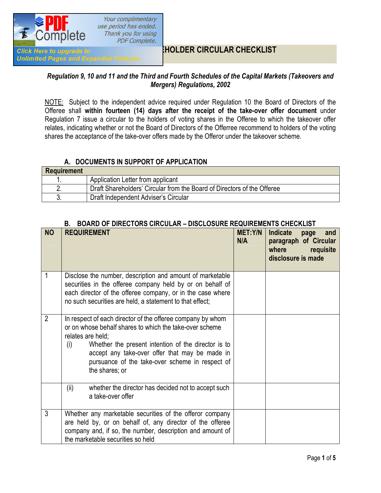

**Unlimited Pages and Expanded Features** 

Your complimentary use period has ended. Thank you for using **PDF Complete.** 

## **HOLDER CIRCULAR CHECKLIST**

#### *Regulation 9, 10 and 11 and the Third and Fourth Schedules of the Capital Markets (Takeovers and Mergers) Regulations, 2002*

NOTE: Subject to the independent advice required under Regulation 10 the Board of Directors of the Offeree shall **within fourteen (14) days after the receipt of the take-over offer document** under Regulation 7 issue a circular to the holders of voting shares in the Offeree to which the takeover offer relates, indicating whether or not the Board of Directors of the Offerree recommend to holders of the voting shares the acceptance of the take-over offers made by the Offeror under the takeover scheme.

### **A. DOCUMENTS IN SUPPORT OF APPLICATION**

| <b>Requirement</b> |                                                                         |
|--------------------|-------------------------------------------------------------------------|
|                    | Application Letter from applicant                                       |
|                    | Draft Shareholders' Circular from the Board of Directors of the Offeree |
|                    | Draft Independent Adviser's Circular                                    |

| <b>NO</b>      | <b>REQUIREMENT</b>                                                                                                                                                                                                                                                                                                              | <b>MET:Y/N</b><br>N/A | <b>Indicate</b><br>and<br>page<br>paragraph of Circular<br>where<br>requisite<br>disclosure is made |
|----------------|---------------------------------------------------------------------------------------------------------------------------------------------------------------------------------------------------------------------------------------------------------------------------------------------------------------------------------|-----------------------|-----------------------------------------------------------------------------------------------------|
| 1              | Disclose the number, description and amount of marketable<br>securities in the offeree company held by or on behalf of<br>each director of the offeree company, or in the case where<br>no such securities are held, a statement to that effect;                                                                                |                       |                                                                                                     |
| $\overline{2}$ | In respect of each director of the offeree company by whom<br>or on whose behalf shares to which the take-over scheme<br>relates are held;<br>Whether the present intention of the director is to<br>(i)<br>accept any take-over offer that may be made in<br>pursuance of the take-over scheme in respect of<br>the shares; or |                       |                                                                                                     |
|                | (ii)<br>whether the director has decided not to accept such<br>a take-over offer                                                                                                                                                                                                                                                |                       |                                                                                                     |
| 3              | Whether any marketable securities of the offeror company<br>are held by, or on behalf of, any director of the offeree<br>company and, if so, the number, description and amount of<br>the marketable securities so held                                                                                                         |                       |                                                                                                     |

#### **B. BOARD OF DIRECTORS CIRCULAR – DISCLOSURE REQUIREMENTS CHECKLIST**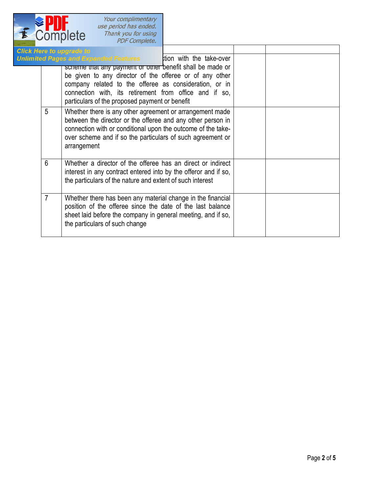

Your complimentary<br>use period has ended.<br>Thank you for using<br>PDF Complete.

|                | lick Here to upgrade to                                                                                                                                                                                                                                                                   |  |  |
|----------------|-------------------------------------------------------------------------------------------------------------------------------------------------------------------------------------------------------------------------------------------------------------------------------------------|--|--|
|                | Inlimited Pages and Expanded Features tion with the take-over                                                                                                                                                                                                                             |  |  |
|                | scneme mat any payment or other benefit shall be made or<br>be given to any director of the offeree or of any other<br>company related to the offeree as consideration, or in<br>connection with, its retirement from office and if so,<br>particulars of the proposed payment or benefit |  |  |
| 5              | Whether there is any other agreement or arrangement made<br>between the director or the offeree and any other person in<br>connection with or conditional upon the outcome of the take-<br>over scheme and if so the particulars of such agreement or<br>arrangement                      |  |  |
| 6              | Whether a director of the offeree has an direct or indirect<br>interest in any contract entered into by the offeror and if so,<br>the particulars of the nature and extent of such interest                                                                                               |  |  |
| $\overline{7}$ | Whether there has been any material change in the financial<br>position of the offeree since the date of the last balance<br>sheet laid before the company in general meeting, and if so,<br>the particulars of such change                                                               |  |  |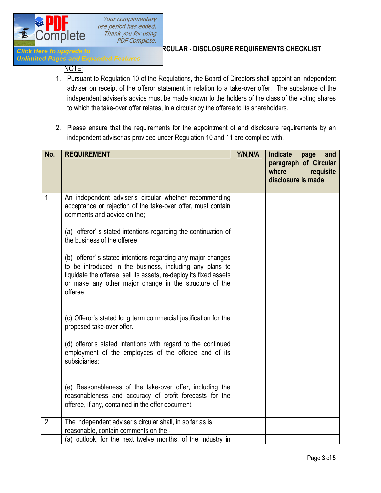

Your complimentary use period has ended. Thank you for using **PDF Complete.** 

# **Click Here to upgrade to <b>Independent ADVISION** REQUIRE REQUIREMENTS CHECKLIST

**Unlimited Pages and Expanded Features** 

#### NOTE:

- 1. Pursuant to Regulation 10 of the Regulations, the Board of Directors shall appoint an independent adviser on receipt of the offeror statement in relation to a take-over offer. The substance of the independent adviser's advice must be made known to the holders of the class of the voting shares to which the take-over offer relates, in a circular by the offeree to its shareholders.
- 2. Please ensure that the requirements for the appointment of and disclosure requirements by an independent adviser as provided under Regulation 10 and 11 are complied with.

| No.            | <b>REQUIREMENT</b>                                                                                                                                                                                                                                                 | Y/N,N/A | Indicate<br>and<br>page<br>paragraph of Circular<br>where<br>requisite<br>disclosure is made |
|----------------|--------------------------------------------------------------------------------------------------------------------------------------------------------------------------------------------------------------------------------------------------------------------|---------|----------------------------------------------------------------------------------------------|
| 1              | An independent adviser's circular whether recommending<br>acceptance or rejection of the take-over offer, must contain<br>comments and advice on the;                                                                                                              |         |                                                                                              |
|                | (a) offeror's stated intentions regarding the continuation of<br>the business of the offeree                                                                                                                                                                       |         |                                                                                              |
|                | (b) offeror's stated intentions regarding any major changes<br>to be introduced in the business, including any plans to<br>liquidate the offeree, sell its assets, re-deploy its fixed assets<br>or make any other major change in the structure of the<br>offeree |         |                                                                                              |
|                | (c) Offeror's stated long term commercial justification for the<br>proposed take-over offer.                                                                                                                                                                       |         |                                                                                              |
|                | (d) offeror's stated intentions with regard to the continued<br>employment of the employees of the offeree and of its<br>subsidiaries;                                                                                                                             |         |                                                                                              |
|                | (e) Reasonableness of the take-over offer, including the<br>reasonableness and accuracy of profit forecasts for the<br>offeree, if any, contained in the offer document.                                                                                           |         |                                                                                              |
| $\overline{2}$ | The independent adviser's circular shall, in so far as is<br>reasonable, contain comments on the:-                                                                                                                                                                 |         |                                                                                              |
|                | (a) outlook, for the next twelve months, of the industry in                                                                                                                                                                                                        |         |                                                                                              |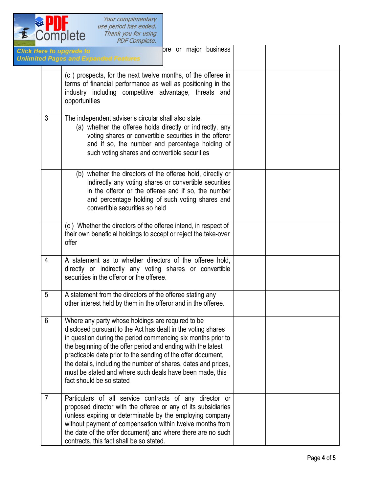

|                | ore or major business<br>ick Here to upgrade to<br><b>ilimited Pages and Expanded Features</b>                                                                                                                                                                                                                                                                                                                                                                              |  |
|----------------|-----------------------------------------------------------------------------------------------------------------------------------------------------------------------------------------------------------------------------------------------------------------------------------------------------------------------------------------------------------------------------------------------------------------------------------------------------------------------------|--|
|                | (c) prospects, for the next twelve months, of the offeree in<br>terms of financial performance as well as positioning in the<br>industry including competitive advantage, threats and<br>opportunities                                                                                                                                                                                                                                                                      |  |
| $\mathfrak{Z}$ | The independent adviser's circular shall also state<br>(a) whether the offeree holds directly or indirectly, any<br>voting shares or convertible securities in the offeror<br>and if so, the number and percentage holding of<br>such voting shares and convertible securities                                                                                                                                                                                              |  |
|                | (b) whether the directors of the offeree hold, directly or<br>indirectly any voting shares or convertible securities<br>in the offeror or the offeree and if so, the number<br>and percentage holding of such voting shares and<br>convertible securities so held                                                                                                                                                                                                           |  |
|                | (c) Whether the directors of the offeree intend, in respect of<br>their own beneficial holdings to accept or reject the take-over<br>offer                                                                                                                                                                                                                                                                                                                                  |  |
| 4              | A statement as to whether directors of the offeree hold,<br>directly or indirectly any voting shares or convertible<br>securities in the offeror or the offeree.                                                                                                                                                                                                                                                                                                            |  |
| 5              | A statement from the directors of the offeree stating any<br>other interest held by them in the offeror and in the offeree.                                                                                                                                                                                                                                                                                                                                                 |  |
| 6              | Where any party whose holdings are required to be<br>disclosed pursuant to the Act has dealt in the voting shares<br>in question during the period commencing six months prior to<br>the beginning of the offer period and ending with the latest<br>practicable date prior to the sending of the offer document,<br>the details, including the number of shares, dates and prices,<br>must be stated and where such deals have been made, this<br>fact should be so stated |  |
| $\overline{7}$ | Particulars of all service contracts of any director or<br>proposed director with the offeree or any of its subsidiaries<br>(unless expiring or determinable by the employing company<br>without payment of compensation within twelve months from<br>the date of the offer document) and where there are no such<br>contracts, this fact shall be so stated.                                                                                                               |  |